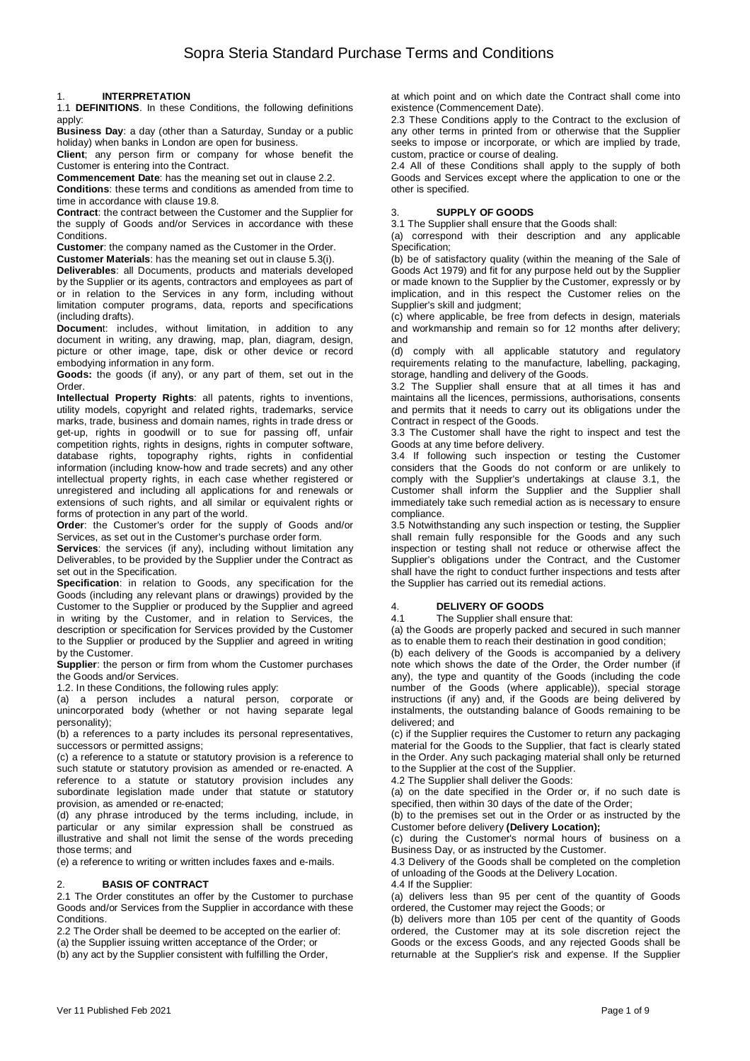### 1. **INTERPRETATION**

1.1 **DEFINITIONS**. In these Conditions, the following definitions apply:

**Business Day**: a day (other than a Saturday, Sunday or a public holiday) when banks in London are open for business.

**Client**; any person firm or company for whose benefit the Customer is entering into the Contract.

**Commencement Date**: has the meaning set out in clause 2.2.

**Conditions**: these terms and conditions as amended from time to time in accordance with clause 19.8.

**Contract**: the contract between the Customer and the Supplier for the supply of Goods and/or Services in accordance with these Conditions.

**Customer**: the company named as the Customer in the Order.

**Customer Materials**: has the meaning set out in clause 5.3(i). **Deliverables**: all Documents, products and materials developed by the Supplier or its agents, contractors and employees as part of or in relation to the Services in any form, including without limitation computer programs, data, reports and specifications (including drafts).

**Document:** includes, without limitation, in addition to any document in writing, any drawing, map, plan, diagram, design, picture or other image, tape, disk or other device or record embodying information in any form.

**Goods:** the goods (if any), or any part of them, set out in the Order.

**Intellectual Property Rights**: all patents, rights to inventions, utility models, copyright and related rights, trademarks, service marks, trade, business and domain names, rights in trade dress or get-up, rights in goodwill or to sue for passing off, unfair competition rights, rights in designs, rights in computer software, database rights, topography rights, rights in confidential information (including know-how and trade secrets) and any other intellectual property rights, in each case whether registered or unregistered and including all applications for and renewals or extensions of such rights, and all similar or equivalent rights or forms of protection in any part of the world.

**Order**: the Customer's order for the supply of Goods and/or Services, as set out in the Customer's purchase order form.

**Services:** the services (if any), including without limitation any Deliverables, to be provided by the Supplier under the Contract as set out in the Specification.

**Specification**: in relation to Goods, any specification for the Goods (including any relevant plans or drawings) provided by the Customer to the Supplier or produced by the Supplier and agreed in writing by the Customer, and in relation to Services, the description or specification for Services provided by the Customer to the Supplier or produced by the Supplier and agreed in writing by the Customer.

**Supplier**: the person or firm from whom the Customer purchases the Goods and/or Services.

1.2. In these Conditions, the following rules apply:

(a) a person includes a natural person, corporate or unincorporated body (whether or not having separate legal personality);

(b) a references to a party includes its personal representatives, successors or permitted assigns;

(c) a reference to a statute or statutory provision is a reference to such statute or statutory provision as amended or re-enacted. A reference to a statute or statutory provision includes any subordinate legislation made under that statute or statutory provision, as amended or re-enacted;

(d) any phrase introduced by the terms including, include, in particular or any similar expression shall be construed as illustrative and shall not limit the sense of the words preceding those terms; and

(e) a reference to writing or written includes faxes and e-mails.

### 2. **BASIS OF CONTRACT**

2.1 The Order constitutes an offer by the Customer to purchase Goods and/or Services from the Supplier in accordance with these Conditions.

2.2 The Order shall be deemed to be accepted on the earlier of: (a) the Supplier issuing written acceptance of the Order; or (b) any act by the Supplier consistent with fulfilling the Order,

at which point and on which date the Contract shall come into existence (Commencement Date).

2.3 These Conditions apply to the Contract to the exclusion of any other terms in printed from or otherwise that the Supplier seeks to impose or incorporate, or which are implied by trade, custom, practice or course of dealing.

2.4 All of these Conditions shall apply to the supply of both Goods and Services except where the application to one or the other is specified.

## 3. **SUPPLY OF GOODS**

3.1 The Supplier shall ensure that the Goods shall:

(a) correspond with their description and any applicable Specification;

(b) be of satisfactory quality (within the meaning of the Sale of Goods Act 1979) and fit for any purpose held out by the Supplier or made known to the Supplier by the Customer, expressly or by implication, and in this respect the Customer relies on the Supplier's skill and judgment;

(c) where applicable, be free from defects in design, materials and workmanship and remain so for 12 months after delivery; and

(d) comply with all applicable statutory and regulatory requirements relating to the manufacture, labelling, packaging, storage, handling and delivery of the Goods.

3.2 The Supplier shall ensure that at all times it has and maintains all the licences, permissions, authorisations, consents and permits that it needs to carry out its obligations under the Contract in respect of the Goods.

3.3 The Customer shall have the right to inspect and test the Goods at any time before delivery.

3.4 If following such inspection or testing the Customer considers that the Goods do not conform or are unlikely to comply with the Supplier's undertakings at clause 3.1, the Customer shall inform the Supplier and the Supplier shall immediately take such remedial action as is necessary to ensure compliance.

3.5 Notwithstanding any such inspection or testing, the Supplier shall remain fully responsible for the Goods and any such inspection or testing shall not reduce or otherwise affect the Supplier's obligations under the Contract, and the Customer shall have the right to conduct further inspections and tests after the Supplier has carried out its remedial actions.

# 4. **DELIVERY OF GOODS**

4.1 The Supplier shall ensure that:

(a) the Goods are properly packed and secured in such manner as to enable them to reach their destination in good condition;

(b) each delivery of the Goods is accompanied by a delivery note which shows the date of the Order, the Order number (if any), the type and quantity of the Goods (including the code number of the Goods (where applicable)), special storage instructions (if any) and, if the Goods are being delivered by instalments, the outstanding balance of Goods remaining to be delivered; and

(c) if the Supplier requires the Customer to return any packaging material for the Goods to the Supplier, that fact is clearly stated in the Order. Any such packaging material shall only be returned to the Supplier at the cost of the Supplier.

4.2 The Supplier shall deliver the Goods:

(a) on the date specified in the Order or, if no such date is specified, then within 30 days of the date of the Order;

(b) to the premises set out in the Order or as instructed by the Customer before delivery **(Delivery Location);**

(c) during the Customer's normal hours of business on a Business Day, or as instructed by the Customer.

4.3 Delivery of the Goods shall be completed on the completion of unloading of the Goods at the Delivery Location.

4.4 If the Supplier:

(a) delivers less than 95 per cent of the quantity of Goods ordered, the Customer may reject the Goods; or

(b) delivers more than 105 per cent of the quantity of Goods ordered, the Customer may at its sole discretion reject the Goods or the excess Goods, and any rejected Goods shall be returnable at the Supplier's risk and expense. If the Supplier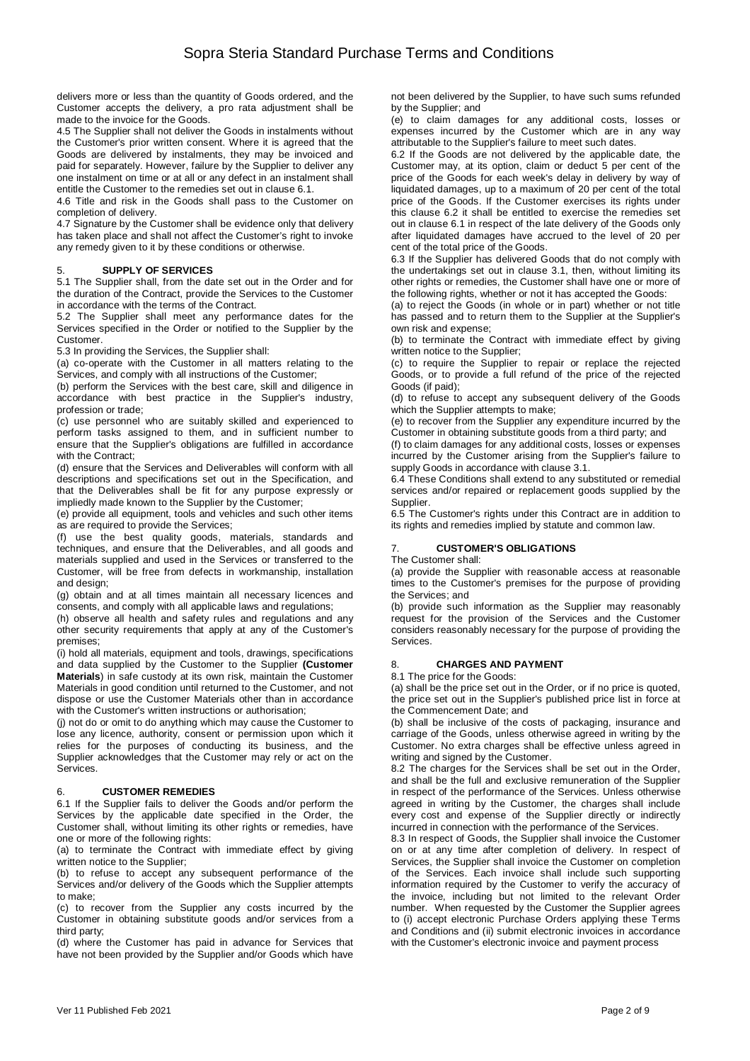delivers more or less than the quantity of Goods ordered, and the Customer accepts the delivery, a pro rata adjustment shall be made to the invoice for the Goods.

4.5 The Supplier shall not deliver the Goods in instalments without the Customer's prior written consent. Where it is agreed that the Goods are delivered by instalments, they may be invoiced and paid for separately. However, failure by the Supplier to deliver any one instalment on time or at all or any defect in an instalment shall entitle the Customer to the remedies set out in clause 6.1.

4.6 Title and risk in the Goods shall pass to the Customer on completion of delivery.

4.7 Signature by the Customer shall be evidence only that delivery has taken place and shall not affect the Customer's right to invoke any remedy given to it by these conditions or otherwise.

### 5. **SUPPLY OF SERVICES**

5.1 The Supplier shall, from the date set out in the Order and for the duration of the Contract, provide the Services to the Customer in accordance with the terms of the Contract.

5.2 The Supplier shall meet any performance dates for the Services specified in the Order or notified to the Supplier by the Customer.

5.3 In providing the Services, the Supplier shall:

(a) co-operate with the Customer in all matters relating to the Services, and comply with all instructions of the Customer;

(b) perform the Services with the best care, skill and diligence in accordance with best practice in the Supplier's industry, profession or trade;

(c) use personnel who are suitably skilled and experienced to perform tasks assigned to them, and in sufficient number to ensure that the Supplier's obligations are fulfilled in accordance with the Contract;

(d) ensure that the Services and Deliverables will conform with all descriptions and specifications set out in the Specification, and that the Deliverables shall be fit for any purpose expressly or impliedly made known to the Supplier by the Customer;

(e) provide all equipment, tools and vehicles and such other items as are required to provide the Services;

(f) use the best quality goods, materials, standards and techniques, and ensure that the Deliverables, and all goods and materials supplied and used in the Services or transferred to the Customer, will be free from defects in workmanship, installation and design;

(g) obtain and at all times maintain all necessary licences and consents, and comply with all applicable laws and regulations;

(h) observe all health and safety rules and regulations and any other security requirements that apply at any of the Customer's premises;

(i) hold all materials, equipment and tools, drawings, specifications and data supplied by the Customer to the Supplier **(Customer Materials**) in safe custody at its own risk, maintain the Customer Materials in good condition until returned to the Customer, and not dispose or use the Customer Materials other than in accordance with the Customer's written instructions or authorisation;

(j) not do or omit to do anything which may cause the Customer to lose any licence, authority, consent or permission upon which it relies for the purposes of conducting its business, and the Supplier acknowledges that the Customer may rely or act on the Services.

### 6. **CUSTOMER REMEDIES**

6.1 If the Supplier fails to deliver the Goods and/or perform the Services by the applicable date specified in the Order, the Customer shall, without limiting its other rights or remedies, have one or more of the following rights:

(a) to terminate the Contract with immediate effect by giving written notice to the Supplier;

(b) to refuse to accept any subsequent performance of the Services and/or delivery of the Goods which the Supplier attempts to make;

(c) to recover from the Supplier any costs incurred by the Customer in obtaining substitute goods and/or services from a third party;

(d) where the Customer has paid in advance for Services that have not been provided by the Supplier and/or Goods which have not been delivered by the Supplier, to have such sums refunded by the Supplier; and

(e) to claim damages for any additional costs, losses or expenses incurred by the Customer which are in any way attributable to the Supplier's failure to meet such dates.

6.2 If the Goods are not delivered by the applicable date, the Customer may, at its option, claim or deduct 5 per cent of the price of the Goods for each week's delay in delivery by way of liquidated damages, up to a maximum of 20 per cent of the total price of the Goods. If the Customer exercises its rights under this clause 6.2 it shall be entitled to exercise the remedies set out in clause 6.1 in respect of the late delivery of the Goods only after liquidated damages have accrued to the level of 20 per cent of the total price of the Goods.

6.3 If the Supplier has delivered Goods that do not comply with the undertakings set out in clause 3.1, then, without limiting its other rights or remedies, the Customer shall have one or more of the following rights, whether or not it has accepted the Goods:

(a) to reject the Goods (in whole or in part) whether or not title has passed and to return them to the Supplier at the Supplier's own risk and expense;

(b) to terminate the Contract with immediate effect by giving written notice to the Supplier;

(c) to require the Supplier to repair or replace the rejected Goods, or to provide a full refund of the price of the rejected Goods (if paid);

(d) to refuse to accept any subsequent delivery of the Goods which the Supplier attempts to make;

(e) to recover from the Supplier any expenditure incurred by the Customer in obtaining substitute goods from a third party; and

(f) to claim damages for any additional costs, losses or expenses incurred by the Customer arising from the Supplier's failure to supply Goods in accordance with clause 3.1.

6.4 These Conditions shall extend to any substituted or remedial services and/or repaired or replacement goods supplied by the Supplier.

6.5 The Customer's rights under this Contract are in addition to its rights and remedies implied by statute and common law.

# 7. **CUSTOMER'S OBLIGATIONS**

The Customer shall:

(a) provide the Supplier with reasonable access at reasonable times to the Customer's premises for the purpose of providing the Services; and

(b) provide such information as the Supplier may reasonably request for the provision of the Services and the Customer considers reasonably necessary for the purpose of providing the Services.

#### 8. **CHARGES AND PAYMENT**

8.1 The price for the Goods:

(a) shall be the price set out in the Order, or if no price is quoted, the price set out in the Supplier's published price list in force at the Commencement Date; and

(b) shall be inclusive of the costs of packaging, insurance and carriage of the Goods, unless otherwise agreed in writing by the Customer. No extra charges shall be effective unless agreed in writing and signed by the Customer.

8.2 The charges for the Services shall be set out in the Order, and shall be the full and exclusive remuneration of the Supplier in respect of the performance of the Services. Unless otherwise agreed in writing by the Customer, the charges shall include every cost and expense of the Supplier directly or indirectly incurred in connection with the performance of the Services.

8.3 In respect of Goods, the Supplier shall invoice the Customer on or at any time after completion of delivery. In respect of Services, the Supplier shall invoice the Customer on completion of the Services. Each invoice shall include such supporting information required by the Customer to verify the accuracy of the invoice, including but not limited to the relevant Order number. When requested by the Customer the Supplier agrees to (i) accept electronic Purchase Orders applying these Terms and Conditions and (ii) submit electronic invoices in accordance with the Customer's electronic invoice and payment process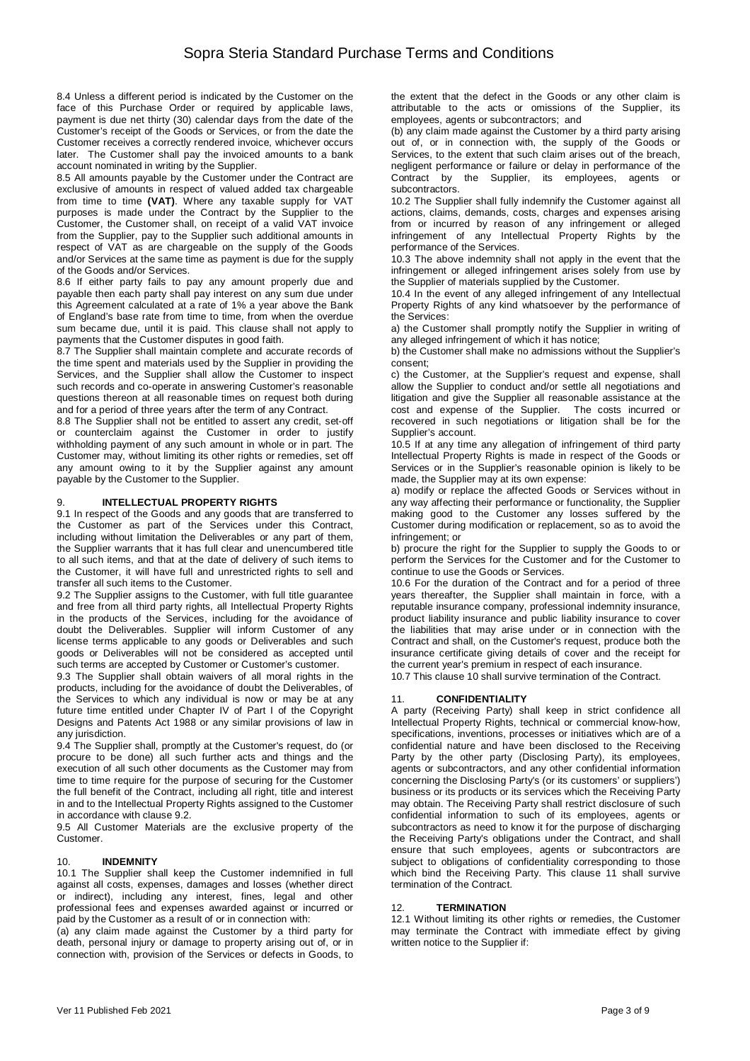8.4 Unless a different period is indicated by the Customer on the face of this Purchase Order or required by applicable laws, payment is due net thirty (30) calendar days from the date of the Customer's receipt of the Goods or Services, or from the date the Customer receives a correctly rendered invoice, whichever occurs later. The Customer shall pay the invoiced amounts to a bank account nominated in writing by the Supplier.

8.5 All amounts payable by the Customer under the Contract are exclusive of amounts in respect of valued added tax chargeable from time to time **(VAT)**. Where any taxable supply for VAT purposes is made under the Contract by the Supplier to the Customer, the Customer shall, on receipt of a valid VAT invoice from the Supplier, pay to the Supplier such additional amounts in respect of VAT as are chargeable on the supply of the Goods and/or Services at the same time as payment is due for the supply of the Goods and/or Services.

8.6 If either party fails to pay any amount properly due and payable then each party shall pay interest on any sum due under this Agreement calculated at a rate of 1% a year above the Bank of England's base rate from time to time, from when the overdue sum became due, until it is paid. This clause shall not apply to payments that the Customer disputes in good faith.

8.7 The Supplier shall maintain complete and accurate records of the time spent and materials used by the Supplier in providing the Services, and the Supplier shall allow the Customer to inspect such records and co-operate in answering Customer's reasonable questions thereon at all reasonable times on request both during and for a period of three years after the term of any Contract.

8.8 The Supplier shall not be entitled to assert any credit, set-off or counterclaim against the Customer in order to justify withholding payment of any such amount in whole or in part. The Customer may, without limiting its other rights or remedies, set off any amount owing to it by the Supplier against any amount payable by the Customer to the Supplier.

### 9. **INTELLECTUAL PROPERTY RIGHTS**

9.1 In respect of the Goods and any goods that are transferred to the Customer as part of the Services under this Contract, including without limitation the Deliverables or any part of them, the Supplier warrants that it has full clear and unencumbered title to all such items, and that at the date of delivery of such items to the Customer, it will have full and unrestricted rights to sell and transfer all such items to the Customer.

9.2 The Supplier assigns to the Customer, with full title guarantee and free from all third party rights, all Intellectual Property Rights in the products of the Services, including for the avoidance of doubt the Deliverables. Supplier will inform Customer of any license terms applicable to any goods or Deliverables and such goods or Deliverables will not be considered as accepted until such terms are accepted by Customer or Customer's customer.

9.3 The Supplier shall obtain waivers of all moral rights in the products, including for the avoidance of doubt the Deliverables, of the Services to which any individual is now or may be at any future time entitled under Chapter IV of Part I of the Copyright Designs and Patents Act 1988 or any similar provisions of law in any jurisdiction.

9.4 The Supplier shall, promptly at the Customer's request, do (or procure to be done) all such further acts and things and the execution of all such other documents as the Customer may from time to time require for the purpose of securing for the Customer the full benefit of the Contract, including all right, title and interest in and to the Intellectual Property Rights assigned to the Customer in accordance with clause 9.2.

9.5 All Customer Materials are the exclusive property of the Customer.

### 10. **INDEMNITY**

10.1 The Supplier shall keep the Customer indemnified in full against all costs, expenses, damages and losses (whether direct or indirect), including any interest, fines, legal and other professional fees and expenses awarded against or incurred or paid by the Customer as a result of or in connection with:

(a) any claim made against the Customer by a third party for death, personal injury or damage to property arising out of, or in connection with, provision of the Services or defects in Goods, to the extent that the defect in the Goods or any other claim is attributable to the acts or omissions of the Supplier, its employees, agents or subcontractors; and

(b) any claim made against the Customer by a third party arising out of, or in connection with, the supply of the Goods or Services, to the extent that such claim arises out of the breach, negligent performance or failure or delay in performance of the Contract by the Supplier, its employees, agents or subcontractors.

10.2 The Supplier shall fully indemnify the Customer against all actions, claims, demands, costs, charges and expenses arising from or incurred by reason of any infringement or alleged infringement of any Intellectual Property Rights by the performance of the Services.

10.3 The above indemnity shall not apply in the event that the infringement or alleged infringement arises solely from use by the Supplier of materials supplied by the Customer.

10.4 In the event of any alleged infringement of any Intellectual Property Rights of any kind whatsoever by the performance of the Services:

a) the Customer shall promptly notify the Supplier in writing of any alleged infringement of which it has notice;

b) the Customer shall make no admissions without the Supplier's consent;

c) the Customer, at the Supplier's request and expense, shall allow the Supplier to conduct and/or settle all negotiations and litigation and give the Supplier all reasonable assistance at the cost and expense of the Supplier. The costs incurred or recovered in such negotiations or litigation shall be for the Supplier's account.

10.5 If at any time any allegation of infringement of third party Intellectual Property Rights is made in respect of the Goods or Services or in the Supplier's reasonable opinion is likely to be made, the Supplier may at its own expense:

a) modify or replace the affected Goods or Services without in any way affecting their performance or functionality, the Supplier making good to the Customer any losses suffered by the Customer during modification or replacement, so as to avoid the infringement; or

b) procure the right for the Supplier to supply the Goods to or perform the Services for the Customer and for the Customer to continue to use the Goods or Services.

10.6 For the duration of the Contract and for a period of three years thereafter, the Supplier shall maintain in force, with a reputable insurance company, professional indemnity insurance, product liability insurance and public liability insurance to cover the liabilities that may arise under or in connection with the Contract and shall, on the Customer's request, produce both the insurance certificate giving details of cover and the receipt for the current year's premium in respect of each insurance.

10.7 This clause 10 shall survive termination of the Contract.

# 11. **CONFIDENTIALITY**

A party (Receiving Party) shall keep in strict confidence all Intellectual Property Rights, technical or commercial know-how, specifications, inventions, processes or initiatives which are of a confidential nature and have been disclosed to the Receiving Party by the other party (Disclosing Party), its employees, agents or subcontractors, and any other confidential information concerning the Disclosing Party's (or its customers' or suppliers') business or its products or its services which the Receiving Party may obtain. The Receiving Party shall restrict disclosure of such confidential information to such of its employees, agents or subcontractors as need to know it for the purpose of discharging the Receiving Party's obligations under the Contract, and shall ensure that such employees, agents or subcontractors are subject to obligations of confidentiality corresponding to those which bind the Receiving Party. This clause 11 shall survive termination of the Contract.

### 12. **TERMINATION**

12.1 Without limiting its other rights or remedies, the Customer may terminate the Contract with immediate effect by giving written notice to the Supplier if: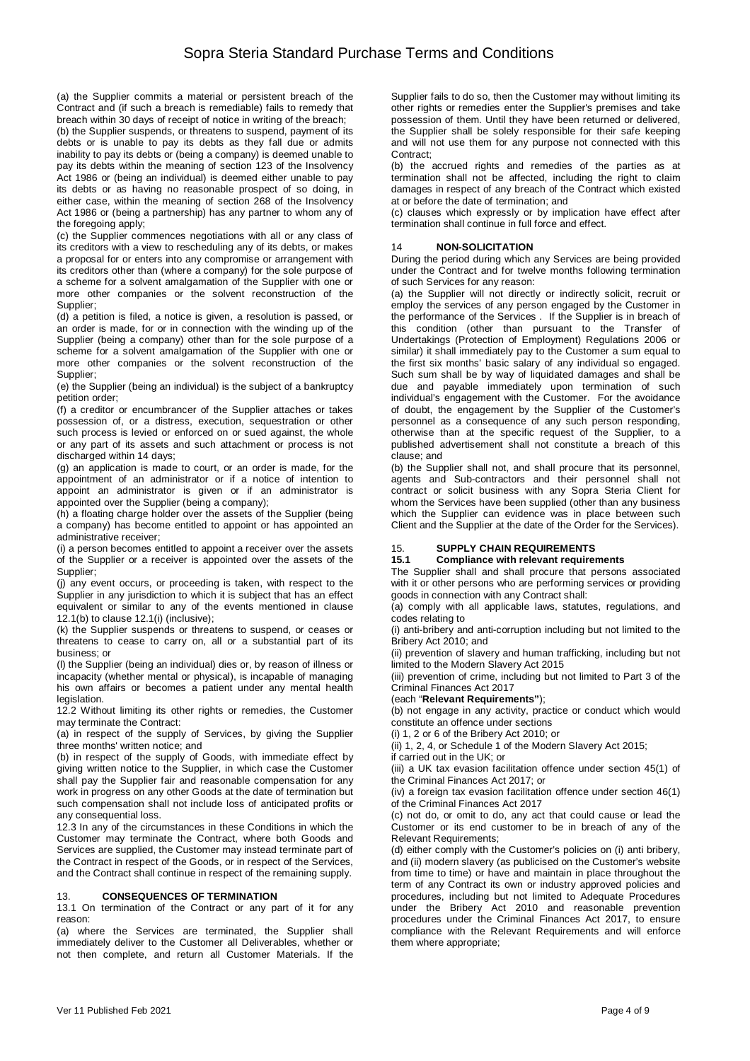(a) the Supplier commits a material or persistent breach of the Contract and (if such a breach is remediable) fails to remedy that breach within 30 days of receipt of notice in writing of the breach;

(b) the Supplier suspends, or threatens to suspend, payment of its debts or is unable to pay its debts as they fall due or admits inability to pay its debts or (being a company) is deemed unable to pay its debts within the meaning of section 123 of the Insolvency Act 1986 or (being an individual) is deemed either unable to pay its debts or as having no reasonable prospect of so doing, in either case, within the meaning of section 268 of the Insolvency Act 1986 or (being a partnership) has any partner to whom any of the foregoing apply;

(c) the Supplier commences negotiations with all or any class of its creditors with a view to rescheduling any of its debts, or makes a proposal for or enters into any compromise or arrangement with its creditors other than (where a company) for the sole purpose of a scheme for a solvent amalgamation of the Supplier with one or more other companies or the solvent reconstruction of the Supplier;

(d) a petition is filed, a notice is given, a resolution is passed, or an order is made, for or in connection with the winding up of the Supplier (being a company) other than for the sole purpose of a scheme for a solvent amalgamation of the Supplier with one or more other companies or the solvent reconstruction of the Supplier;

(e) the Supplier (being an individual) is the subject of a bankruptcy petition order;

(f) a creditor or encumbrancer of the Supplier attaches or takes possession of, or a distress, execution, sequestration or other such process is levied or enforced on or sued against, the whole or any part of its assets and such attachment or process is not discharged within 14 days;

(g) an application is made to court, or an order is made, for the appointment of an administrator or if a notice of intention to appoint an administrator is given or if an administrator is appointed over the Supplier (being a company);

(h) a floating charge holder over the assets of the Supplier (being a company) has become entitled to appoint or has appointed an administrative receiver;

(i) a person becomes entitled to appoint a receiver over the assets of the Supplier or a receiver is appointed over the assets of the Supplier;

(j) any event occurs, or proceeding is taken, with respect to the Supplier in any jurisdiction to which it is subject that has an effect equivalent or similar to any of the events mentioned in clause 12.1(b) to clause 12.1(i) (inclusive);

(k) the Supplier suspends or threatens to suspend, or ceases or threatens to cease to carry on, all or a substantial part of its business; or

(l) the Supplier (being an individual) dies or, by reason of illness or incapacity (whether mental or physical), is incapable of managing his own affairs or becomes a patient under any mental health legislation.

12.2 Without limiting its other rights or remedies, the Customer may terminate the Contract:

(a) in respect of the supply of Services, by giving the Supplier three months' written notice; and

(b) in respect of the supply of Goods, with immediate effect by giving written notice to the Supplier, in which case the Customer shall pay the Supplier fair and reasonable compensation for any work in progress on any other Goods at the date of termination but such compensation shall not include loss of anticipated profits or any consequential loss.

12.3 In any of the circumstances in these Conditions in which the Customer may terminate the Contract, where both Goods and Services are supplied, the Customer may instead terminate part of the Contract in respect of the Goods, or in respect of the Services, and the Contract shall continue in respect of the remaining supply.

### 13. **CONSEQUENCES OF TERMINATION**

13.1 On termination of the Contract or any part of it for any reason:

(a) where the Services are terminated, the Supplier shall immediately deliver to the Customer all Deliverables, whether or not then complete, and return all Customer Materials. If the Supplier fails to do so, then the Customer may without limiting its other rights or remedies enter the Supplier's premises and take possession of them. Until they have been returned or delivered, the Supplier shall be solely responsible for their safe keeping and will not use them for any purpose not connected with this Contract;

(b) the accrued rights and remedies of the parties as at termination shall not be affected, including the right to claim damages in respect of any breach of the Contract which existed at or before the date of termination; and

(c) clauses which expressly or by implication have effect after termination shall continue in full force and effect.

### 14 **NON-SOLICITATION**

During the period during which any Services are being provided under the Contract and for twelve months following termination of such Services for any reason:

(a) the Supplier will not directly or indirectly solicit, recruit or employ the services of any person engaged by the Customer in the performance of the Services . If the Supplier is in breach of this condition (other than pursuant to the Transfer of Undertakings (Protection of Employment) Regulations 2006 or similar) it shall immediately pay to the Customer a sum equal to the first six months' basic salary of any individual so engaged. Such sum shall be by way of liquidated damages and shall be due and payable immediately upon termination of such individual's engagement with the Customer. For the avoidance of doubt, the engagement by the Supplier of the Customer's personnel as a consequence of any such person responding, otherwise than at the specific request of the Supplier, to a published advertisement shall not constitute a breach of this clause; and

(b) the Supplier shall not, and shall procure that its personnel, agents and Sub-contractors and their personnel shall not contract or solicit business with any Sopra Steria Client for whom the Services have been supplied (other than any business which the Supplier can evidence was in place between such Client and the Supplier at the date of the Order for the Services).

### 15. **SUPPLY CHAIN REQUIREMENTS**

# **15.1 Compliance with relevant requirements**

The Supplier shall and shall procure that persons associated with it or other persons who are performing services or providing goods in connection with any Contract shall:

(a) comply with all applicable laws, statutes, regulations, and codes relating to

(i) anti-bribery and anti-corruption including but not limited to the Bribery Act 2010; and

(ii) prevention of slavery and human trafficking, including but not limited to the Modern Slavery Act 2015

(iii) prevention of crime, including but not limited to Part 3 of the Criminal Finances Act 2017

(each "**Relevant Requirements"**);

(b) not engage in any activity, practice or conduct which would constitute an offence under sections

(i) 1, 2 or 6 of the Bribery Act 2010; or

(ii) 1, 2, 4, or Schedule 1 of the Modern Slavery Act 2015;

if carried out in the UK; or

(iii) a UK tax evasion facilitation offence under section 45(1) of the Criminal Finances Act 2017; or

(iv) a foreign tax evasion facilitation offence under section 46(1) of the Criminal Finances Act 2017

(c) not do, or omit to do, any act that could cause or lead the Customer or its end customer to be in breach of any of the Relevant Requirements;

(d) either comply with the Customer's policies on (i) anti bribery, and (ii) modern slavery (as publicised on the Customer's website from time to time) or have and maintain in place throughout the term of any Contract its own or industry approved policies and procedures, including but not limited to Adequate Procedures under the Bribery Act 2010 and reasonable prevention procedures under the Criminal Finances Act 2017, to ensure compliance with the Relevant Requirements and will enforce them where appropriate;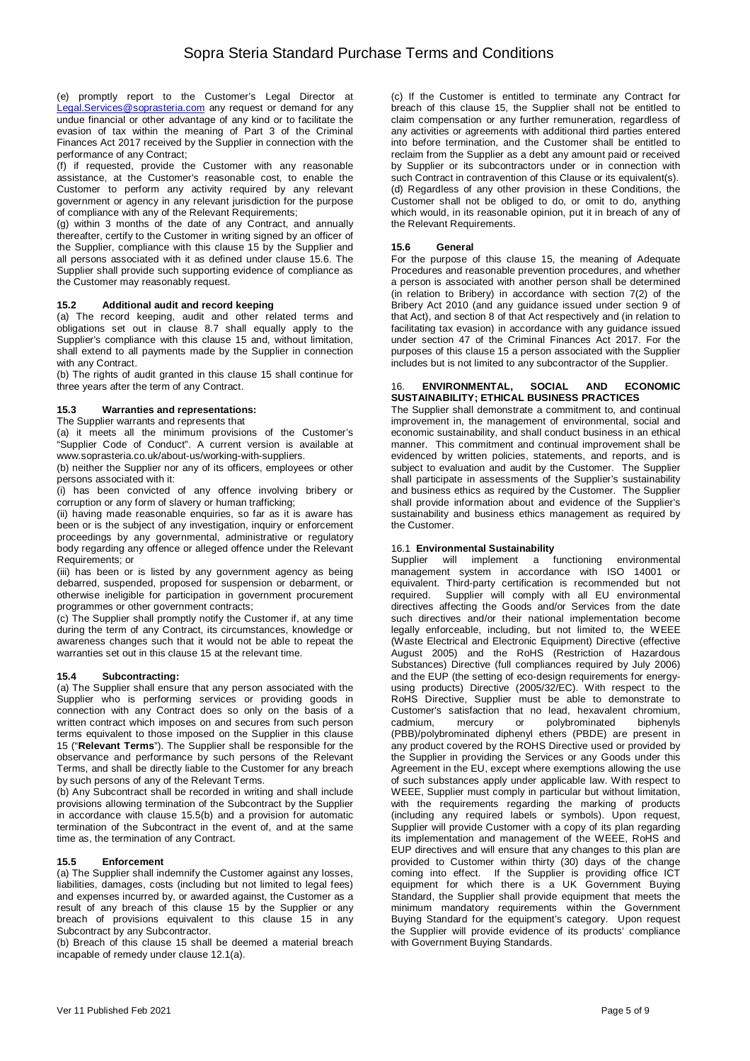(e) promptly report to the Customer's Legal Director at Legal.Services@soprasteria.com any request or demand for any undue financial or other advantage of any kind or to facilitate the evasion of tax within the meaning of Part 3 of the Criminal Finances Act 2017 received by the Supplier in connection with the performance of any Contract;

(f) if requested, provide the Customer with any reasonable assistance, at the Customer's reasonable cost, to enable the Customer to perform any activity required by any relevant government or agency in any relevant jurisdiction for the purpose of compliance with any of the Relevant Requirements;

(g) within 3 months of the date of any Contract, and annually thereafter, certify to the Customer in writing signed by an officer of the Supplier, compliance with this clause 15 by the Supplier and all persons associated with it as defined under clause 15.6. The Supplier shall provide such supporting evidence of compliance as the Customer may reasonably request.

# **15.2 Additional audit and record keeping**

(a) The record keeping, audit and other related terms and obligations set out in clause 8.7 shall equally apply to the Supplier's compliance with this clause 15 and, without limitation, shall extend to all payments made by the Supplier in connection with any Contract.

(b) The rights of audit granted in this clause 15 shall continue for three years after the term of any Contract.

### **15.3 Warranties and representations:**

The Supplier warrants and represents that

(a) it meets all the minimum provisions of the Customer's "Supplier Code of Conduct". A current version is available at www.soprasteria.co.uk/about-us/working-with-suppliers.

(b) neither the Supplier nor any of its officers, employees or other persons associated with it:

(i) has been convicted of any offence involving bribery or corruption or any form of slavery or human trafficking;

(ii) having made reasonable enquiries, so far as it is aware has been or is the subject of any investigation, inquiry or enforcement proceedings by any governmental, administrative or regulatory body regarding any offence or alleged offence under the Relevant Requirements; or

(iii) has been or is listed by any government agency as being debarred, suspended, proposed for suspension or debarment, or otherwise ineligible for participation in government procurement programmes or other government contracts;

(c) The Supplier shall promptly notify the Customer if, at any time during the term of any Contract, its circumstances, knowledge or awareness changes such that it would not be able to repeat the warranties set out in this clause 15 at the relevant time.

### **15.4 Subcontracting:**

(a) The Supplier shall ensure that any person associated with the Supplier who is performing services or providing goods in connection with any Contract does so only on the basis of a written contract which imposes on and secures from such person terms equivalent to those imposed on the Supplier in this clause 15 ("**Relevant Terms**"). The Supplier shall be responsible for the observance and performance by such persons of the Relevant Terms, and shall be directly liable to the Customer for any breach by such persons of any of the Relevant Terms.

(b) Any Subcontract shall be recorded in writing and shall include provisions allowing termination of the Subcontract by the Supplier in accordance with clause 15.5(b) and a provision for automatic termination of the Subcontract in the event of, and at the same time as, the termination of any Contract.

### **15.5 Enforcement**

(a) The Supplier shall indemnify the Customer against any losses, liabilities, damages, costs (including but not limited to legal fees) and expenses incurred by, or awarded against, the Customer as a result of any breach of this clause 15 by the Supplier or any breach of provisions equivalent to this clause 15 in any Subcontract by any Subcontractor.

(b) Breach of this clause 15 shall be deemed a material breach incapable of remedy under clause 12.1(a).

(c) If the Customer is entitled to terminate any Contract for breach of this clause 15, the Supplier shall not be entitled to claim compensation or any further remuneration, regardless of any activities or agreements with additional third parties entered into before termination, and the Customer shall be entitled to reclaim from the Supplier as a debt any amount paid or received by Supplier or its subcontractors under or in connection with such Contract in contravention of this Clause or its equivalent(s). (d) Regardless of any other provision in these Conditions, the Customer shall not be obliged to do, or omit to do, anything which would, in its reasonable opinion, put it in breach of any of the Relevant Requirements.

### **15.6 General**

For the purpose of this clause 15, the meaning of Adequate Procedures and reasonable prevention procedures, and whether a person is associated with another person shall be determined (in relation to Bribery) in accordance with section 7(2) of the Bribery Act 2010 (and any guidance issued under section 9 of that Act), and section 8 of that Act respectively and (in relation to facilitating tax evasion) in accordance with any guidance issued under section 47 of the Criminal Finances Act 2017. For the purposes of this clause 15 a person associated with the Supplier includes but is not limited to any subcontractor of the Supplier.

### 16. **ENVIRONMENTAL, SOCIAL AND ECONOMIC SUSTAINABILITY; ETHICAL BUSINESS PRACTICES**

The Supplier shall demonstrate a commitment to, and continual improvement in, the management of environmental, social and economic sustainability, and shall conduct business in an ethical manner. This commitment and continual improvement shall be evidenced by written policies, statements, and reports, and is subject to evaluation and audit by the Customer. The Supplier shall participate in assessments of the Supplier's sustainability and business ethics as required by the Customer. The Supplier shall provide information about and evidence of the Supplier's sustainability and business ethics management as required by the Customer.

### 16.1 **Environmental Sustainability**

Supplier will implement a functioning environmental management system in accordance with ISO 14001 or equivalent. Third-party certification is recommended but not required. Supplier will comply with all EU environmental Supplier will comply with all EU environmental directives affecting the Goods and/or Services from the date such directives and/or their national implementation become legally enforceable, including, but not limited to, the WEEE (Waste Electrical and Electronic Equipment) Directive (effective August 2005) and the RoHS (Restriction of Hazardous Substances) Directive (full compliances required by July 2006) and the EUP (the setting of eco-design requirements for energyusing products) Directive (2005/32/EC). With respect to the RoHS Directive, Supplier must be able to demonstrate to Customer's satisfaction that no lead, hexavalent chromium,<br>cadmium, mercury or polybrominated biphenyls or polybrominated (PBB)/polybrominated diphenyl ethers (PBDE) are present in any product covered by the ROHS Directive used or provided by the Supplier in providing the Services or any Goods under this Agreement in the EU, except where exemptions allowing the use of such substances apply under applicable law. With respect to WEEE, Supplier must comply in particular but without limitation, with the requirements regarding the marking of products (including any required labels or symbols). Upon request, Supplier will provide Customer with a copy of its plan regarding its implementation and management of the WEEE, RoHS and EUP directives and will ensure that any changes to this plan are provided to Customer within thirty (30) days of the change coming into effect. If the Supplier is providing office ICT equipment for which there is a UK Government Buying Standard, the Supplier shall provide equipment that meets the minimum mandatory requirements within the Government Buying Standard for the equipment's category. Upon request the Supplier will provide evidence of its products' compliance with Government Buying Standards.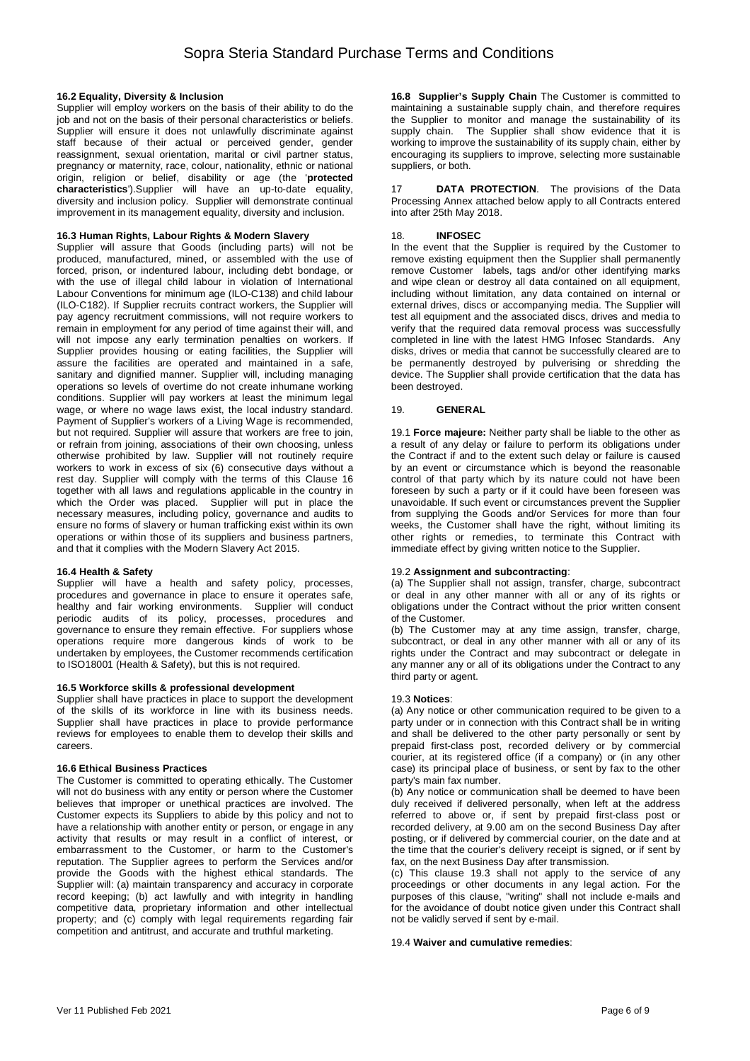#### **16.2 Equality, Diversity & Inclusion**

Supplier will employ workers on the basis of their ability to do the job and not on the basis of their personal characteristics or beliefs. Supplier will ensure it does not unlawfully discriminate against staff because of their actual or perceived gender, gender reassignment, sexual orientation, marital or civil partner status, pregnancy or maternity, race, colour, nationality, ethnic or national origin, religion or belief, disability or age (the '**protected characteristics**').Supplier will have an up-to-date equality, diversity and inclusion policy. Supplier will demonstrate continual improvement in its management equality, diversity and inclusion.

#### **16.3 Human Rights, Labour Rights & Modern Slavery**

Supplier will assure that Goods (including parts) will not be produced, manufactured, mined, or assembled with the use of forced, prison, or indentured labour, including debt bondage, or with the use of illegal child labour in violation of International Labour Conventions for minimum age (ILO-C138) and child labour (ILO-C182). If Supplier recruits contract workers, the Supplier will pay agency recruitment commissions, will not require workers to remain in employment for any period of time against their will, and will not impose any early termination penalties on workers. If Supplier provides housing or eating facilities, the Supplier will assure the facilities are operated and maintained in a safe, sanitary and dignified manner. Supplier will, including managing operations so levels of overtime do not create inhumane working conditions. Supplier will pay workers at least the minimum legal wage, or where no wage laws exist, the local industry standard. Payment of Supplier's workers of a Living Wage is recommended, but not required. Supplier will assure that workers are free to join, or refrain from joining, associations of their own choosing, unless otherwise prohibited by law. Supplier will not routinely require workers to work in excess of six (6) consecutive days without a rest day. Supplier will comply with the terms of this Clause 16 together with all laws and regulations applicable in the country in which the Order was placed. Supplier will put in place the necessary measures, including policy, governance and audits to ensure no forms of slavery or human trafficking exist within its own operations or within those of its suppliers and business partners, and that it complies with the Modern Slavery Act 2015.

#### **16.4 Health & Safety**

Supplier will have a health and safety policy, processes, procedures and governance in place to ensure it operates safe, healthy and fair working environments. Supplier will conduct periodic audits of its policy, processes, procedures and governance to ensure they remain effective. For suppliers whose operations require more dangerous kinds of work to be undertaken by employees, the Customer recommends certification to ISO18001 (Health & Safety), but this is not required.

#### **16.5 Workforce skills & professional development**

Supplier shall have practices in place to support the development of the skills of its workforce in line with its business needs. Supplier shall have practices in place to provide performance reviews for employees to enable them to develop their skills and careers.

#### **16.6 Ethical Business Practices**

The Customer is committed to operating ethically. The Customer will not do business with any entity or person where the Customer believes that improper or unethical practices are involved. The Customer expects its Suppliers to abide by this policy and not to have a relationship with another entity or person, or engage in any activity that results or may result in a conflict of interest, or embarrassment to the Customer, or harm to the Customer's reputation. The Supplier agrees to perform the Services and/or provide the Goods with the highest ethical standards. The Supplier will: (a) maintain transparency and accuracy in corporate record keeping; (b) act lawfully and with integrity in handling competitive data, proprietary information and other intellectual property; and (c) comply with legal requirements regarding fair competition and antitrust, and accurate and truthful marketing.

**16.8 Supplier's Supply Chain** The Customer is committed to maintaining a sustainable supply chain, and therefore requires the Supplier to monitor and manage the sustainability of its supply chain. The Supplier shall show evidence that it is working to improve the sustainability of its supply chain, either by encouraging its suppliers to improve, selecting more sustainable suppliers, or both.

17 **DATA PROTECTION**. The provisions of the Data Processing Annex attached below apply to all Contracts entered into after 25th May 2018.

#### 18. **INFOSEC**

In the event that the Supplier is required by the Customer to remove existing equipment then the Supplier shall permanently remove Customer labels, tags and/or other identifying marks and wipe clean or destroy all data contained on all equipment, including without limitation, any data contained on internal or external drives, discs or accompanying media. The Supplier will test all equipment and the associated discs, drives and media to verify that the required data removal process was successfully completed in line with the latest HMG Infosec Standards. Any disks, drives or media that cannot be successfully cleared are to be permanently destroyed by pulverising or shredding the device. The Supplier shall provide certification that the data has been destroyed.

#### 19. **GENERAL**

19.1 **Force majeure:** Neither party shall be liable to the other as a result of any delay or failure to perform its obligations under the Contract if and to the extent such delay or failure is caused by an event or circumstance which is beyond the reasonable control of that party which by its nature could not have been foreseen by such a party or if it could have been foreseen was unavoidable. If such event or circumstances prevent the Supplier from supplying the Goods and/or Services for more than four weeks, the Customer shall have the right, without limiting its other rights or remedies, to terminate this Contract with immediate effect by giving written notice to the Supplier.

#### 19.2 **Assignment and subcontracting**:

(a) The Supplier shall not assign, transfer, charge, subcontract or deal in any other manner with all or any of its rights or obligations under the Contract without the prior written consent of the Customer.

(b) The Customer may at any time assign, transfer, charge, subcontract, or deal in any other manner with all or any of its rights under the Contract and may subcontract or delegate in any manner any or all of its obligations under the Contract to any third party or agent.

#### 19.3 **Notices**:

(a) Any notice or other communication required to be given to a party under or in connection with this Contract shall be in writing and shall be delivered to the other party personally or sent by prepaid first-class post, recorded delivery or by commercial courier, at its registered office (if a company) or (in any other case) its principal place of business, or sent by fax to the other party's main fax number.

(b) Any notice or communication shall be deemed to have been duly received if delivered personally, when left at the address referred to above or, if sent by prepaid first-class post or recorded delivery, at 9.00 am on the second Business Day after posting, or if delivered by commercial courier, on the date and at the time that the courier's delivery receipt is signed, or if sent by fax, on the next Business Day after transmission.

(c) This clause 19.3 shall not apply to the service of any proceedings or other documents in any legal action. For the purposes of this clause, "writing" shall not include e-mails and for the avoidance of doubt notice given under this Contract shall not be validly served if sent by e-mail.

#### 19.4 **Waiver and cumulative remedies**: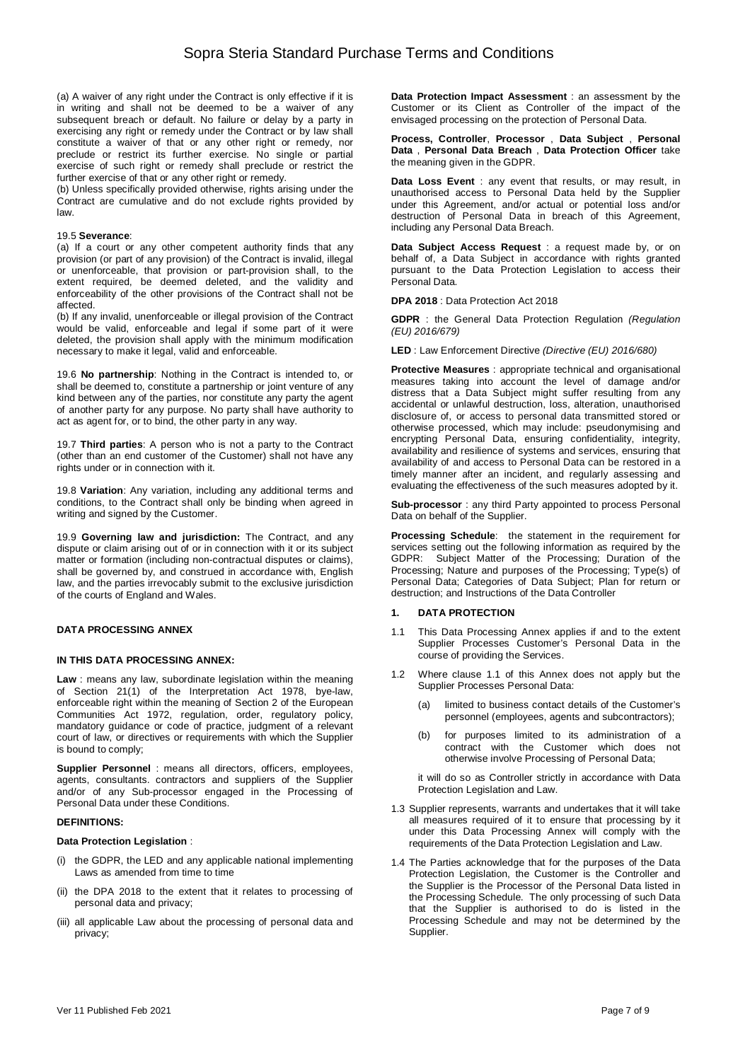(a) A waiver of any right under the Contract is only effective if it is in writing and shall not be deemed to be a waiver of any subsequent breach or default. No failure or delay by a party in exercising any right or remedy under the Contract or by law shall constitute a waiver of that or any other right or remedy, nor preclude or restrict its further exercise. No single or partial exercise of such right or remedy shall preclude or restrict the further exercise of that or any other right or remedy.

(b) Unless specifically provided otherwise, rights arising under the Contract are cumulative and do not exclude rights provided by law.

#### 19.5 **Severance**:

(a) If a court or any other competent authority finds that any provision (or part of any provision) of the Contract is invalid, illegal or unenforceable, that provision or part-provision shall, to the extent required, be deemed deleted, and the validity and enforceability of the other provisions of the Contract shall not be affected.

(b) If any invalid, unenforceable or illegal provision of the Contract would be valid, enforceable and legal if some part of it were deleted, the provision shall apply with the minimum modification necessary to make it legal, valid and enforceable.

19.6 **No partnership**: Nothing in the Contract is intended to, or shall be deemed to, constitute a partnership or joint venture of any kind between any of the parties, nor constitute any party the agent of another party for any purpose. No party shall have authority to act as agent for, or to bind, the other party in any way.

19.7 **Third parties**: A person who is not a party to the Contract (other than an end customer of the Customer) shall not have any rights under or in connection with it.

19.8 **Variation**: Any variation, including any additional terms and conditions, to the Contract shall only be binding when agreed in writing and signed by the Customer.

19.9 **Governing law and jurisdiction:** The Contract, and any dispute or claim arising out of or in connection with it or its subject matter or formation (including non-contractual disputes or claims), shall be governed by, and construed in accordance with, English law, and the parties irrevocably submit to the exclusive jurisdiction of the courts of England and Wales.

### **DATA PROCESSING ANNEX**

#### **IN THIS DATA PROCESSING ANNEX:**

**Law** : means any law, subordinate legislation within the meaning of Section 21(1) of the Interpretation Act 1978, bye-law, enforceable right within the meaning of Section 2 of the European Communities Act 1972, regulation, order, regulatory policy, mandatory guidance or code of practice, judgment of a relevant court of law, or directives or requirements with which the Supplier is bound to comply;

**Supplier Personnel** : means all directors, officers, employees, agents, consultants. contractors and suppliers of the Supplier and/or of any Sub-processor engaged in the Processing of Personal Data under these Conditions.

### **DEFINITIONS:**

#### **Data Protection Legislation** :

- (i) the GDPR, the LED and any applicable national implementing Laws as amended from time to time
- (ii) the DPA 2018 to the extent that it relates to processing of personal data and privacy;
- (iii) all applicable Law about the processing of personal data and privacy;

**Data Protection Impact Assessment** : an assessment by the Customer or its Client as Controller of the impact of the envisaged processing on the protection of Personal Data.

**Process, Controller**, **Processor** , **Data Subject** , **Personal Data** , **Personal Data Breach** , **Data Protection Officer** take the meaning given in the GDPR.

**Data Loss Event** : any event that results, or may result, in unauthorised access to Personal Data held by the Supplier under this Agreement, and/or actual or potential loss and/or destruction of Personal Data in breach of this Agreement, including any Personal Data Breach.

Data Subject Access Request : a request made by, or on behalf of, a Data Subject in accordance with rights granted pursuant to the Data Protection Legislation to access their Personal Data.

**DPA 2018** : Data Protection Act 2018

**GDPR** : the General Data Protection Regulation (Regulation (EU) 2016/679)

**LED** : Law Enforcement Directive (Directive (EU) 2016/680)

**Protective Measures** : appropriate technical and organisational measures taking into account the level of damage and/or distress that a Data Subject might suffer resulting from any accidental or unlawful destruction, loss, alteration, unauthorised disclosure of, or access to personal data transmitted stored or otherwise processed, which may include: pseudonymising and encrypting Personal Data, ensuring confidentiality, integrity, availability and resilience of systems and services, ensuring that availability of and access to Personal Data can be restored in a timely manner after an incident, and regularly assessing and evaluating the effectiveness of the such measures adopted by it.

**Sub-processor** : any third Party appointed to process Personal Data on behalf of the Supplier.

**Processing Schedule**: the statement in the requirement for services setting out the following information as required by the GDPR: Subject Matter of the Processing; Duration of the Processing; Nature and purposes of the Processing; Type(s) of Personal Data; Categories of Data Subject; Plan for return or destruction; and Instructions of the Data Controller

### **1. DATA PROTECTION**

- 1.1 This Data Processing Annex applies if and to the extent Supplier Processes Customer's Personal Data in the course of providing the Services.
- 1.2 Where clause 1.1 of this Annex does not apply but the Supplier Processes Personal Data:
	- (a) limited to business contact details of the Customer's personnel (employees, agents and subcontractors);
	- (b) for purposes limited to its administration of a contract with the Customer which does not otherwise involve Processing of Personal Data;

it will do so as Controller strictly in accordance with Data Protection Legislation and Law.

- 1.3 Supplier represents, warrants and undertakes that it will take all measures required of it to ensure that processing by it under this Data Processing Annex will comply with the requirements of the Data Protection Legislation and Law.
- 1.4 The Parties acknowledge that for the purposes of the Data Protection Legislation, the Customer is the Controller and the Supplier is the Processor of the Personal Data listed in the Processing Schedule. The only processing of such Data that the Supplier is authorised to do is listed in the Processing Schedule and may not be determined by the Supplier.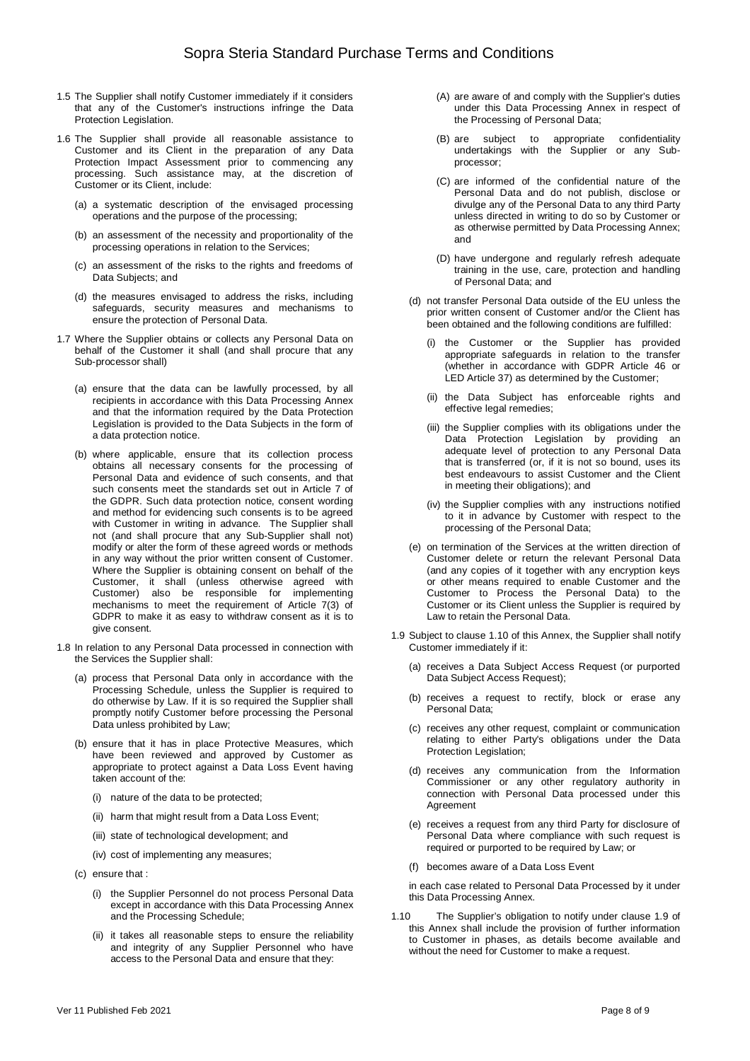- 1.5 The Supplier shall notify Customer immediately if it considers that any of the Customer's instructions infringe the Data Protection Legislation.
- 1.6 The Supplier shall provide all reasonable assistance to Customer and its Client in the preparation of any Data Protection Impact Assessment prior to commencing any processing. Such assistance may, at the discretion of Customer or its Client, include:
	- (a) a systematic description of the envisaged processing operations and the purpose of the processing;
	- (b) an assessment of the necessity and proportionality of the processing operations in relation to the Services;
	- (c) an assessment of the risks to the rights and freedoms of Data Subjects: and
	- (d) the measures envisaged to address the risks, including safeguards, security measures and mechanisms to ensure the protection of Personal Data.
- 1.7 Where the Supplier obtains or collects any Personal Data on behalf of the Customer it shall (and shall procure that any Sub-processor shall)
	- (a) ensure that the data can be lawfully processed, by all recipients in accordance with this Data Processing Annex and that the information required by the Data Protection Legislation is provided to the Data Subjects in the form of a data protection notice.
	- (b) where applicable, ensure that its collection process obtains all necessary consents for the processing of Personal Data and evidence of such consents, and that such consents meet the standards set out in Article 7 of the GDPR. Such data protection notice, consent wording and method for evidencing such consents is to be agreed with Customer in writing in advance. The Supplier shall not (and shall procure that any Sub-Supplier shall not) modify or alter the form of these agreed words or methods in any way without the prior written consent of Customer. Where the Supplier is obtaining consent on behalf of the Customer, it shall (unless otherwise agreed with Customer) also be responsible for implementing mechanisms to meet the requirement of Article 7(3) of GDPR to make it as easy to withdraw consent as it is to give consent.
- 1.8 In relation to any Personal Data processed in connection with the Services the Supplier shall:
	- (a) process that Personal Data only in accordance with the Processing Schedule, unless the Supplier is required to do otherwise by Law. If it is so required the Supplier shall promptly notify Customer before processing the Personal Data unless prohibited by Law;
	- (b) ensure that it has in place Protective Measures, which have been reviewed and approved by Customer as appropriate to protect against a Data Loss Event having taken account of the:
		- (i) nature of the data to be protected;
		- (ii) harm that might result from a Data Loss Event;
		- (iii) state of technological development; and
		- (iv) cost of implementing any measures;
	- (c) ensure that :
		- (i) the Supplier Personnel do not process Personal Data except in accordance with this Data Processing Annex and the Processing Schedule;
		- (ii) it takes all reasonable steps to ensure the reliability and integrity of any Supplier Personnel who have access to the Personal Data and ensure that they:
- (A) are aware of and comply with the Supplier's duties under this Data Processing Annex in respect of the Processing of Personal Data;
- (B) are subject to appropriate confidentiality undertakings with the Supplier or any Subprocessor;
- (C) are informed of the confidential nature of the Personal Data and do not publish, disclose or divulge any of the Personal Data to any third Party unless directed in writing to do so by Customer or as otherwise permitted by Data Processing Annex; and
- (D) have undergone and regularly refresh adequate training in the use, care, protection and handling of Personal Data; and
- (d) not transfer Personal Data outside of the EU unless the prior written consent of Customer and/or the Client has been obtained and the following conditions are fulfilled:
	- (i) the Customer or the Supplier has provided appropriate safequards in relation to the transfer (whether in accordance with GDPR Article 46 or LED Article 37) as determined by the Customer;
	- (ii) the Data Subject has enforceable rights and effective legal remedies;
	- (iii) the Supplier complies with its obligations under the Data Protection Legislation by providing an adequate level of protection to any Personal Data that is transferred (or, if it is not so bound, uses its best endeavours to assist Customer and the Client in meeting their obligations); and
	- (iv) the Supplier complies with any instructions notified to it in advance by Customer with respect to the processing of the Personal Data;
- (e) on termination of the Services at the written direction of Customer delete or return the relevant Personal Data (and any copies of it together with any encryption keys or other means required to enable Customer and the Customer to Process the Personal Data) to the Customer or its Client unless the Supplier is required by Law to retain the Personal Data.
- 1.9 Subject to clause 1.10 of this Annex, the Supplier shall notify Customer immediately if it:
	- (a) receives a Data Subject Access Request (or purported Data Subject Access Request);
	- (b) receives a request to rectify, block or erase any Personal Data;
	- (c) receives any other request, complaint or communication relating to either Party's obligations under the Data Protection Legislation;
	- (d) receives any communication from the Information Commissioner or any other regulatory authority in connection with Personal Data processed under this Agreement
	- (e) receives a request from any third Party for disclosure of Personal Data where compliance with such request is required or purported to be required by Law; or
	- (f) becomes aware of a Data Loss Event

in each case related to Personal Data Processed by it under this Data Processing Annex.

1.10 The Supplier's obligation to notify under clause 1.9 of this Annex shall include the provision of further information to Customer in phases, as details become available and without the need for Customer to make a request.